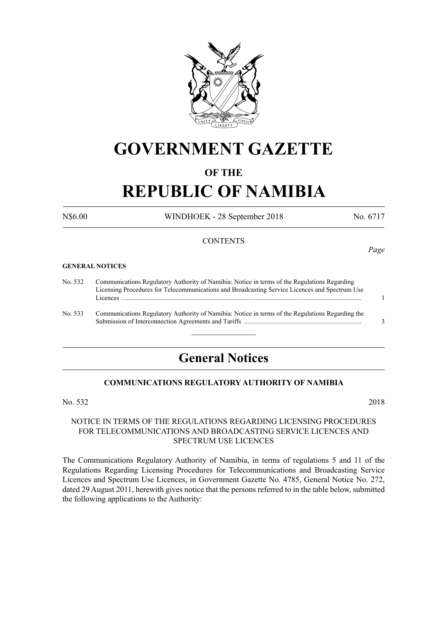

## **GOVERNMENT GAZETTE**

### **OF THE**

# **REPUBLIC OF NAMIBIA**

N\$6.00 WINDHOEK - 28 September 2018 No. 6717

*Page*

#### **CONTENTS**

#### **GENERAL NOTICES**

| No. 532 | Communications Regulatory Authority of Namibia: Notice in terms of the Regulations Regarding     |  |  |
|---------|--------------------------------------------------------------------------------------------------|--|--|
|         | Licensing Procedures for Telecommunications and Broadcasting Service Licences and Spectrum Use   |  |  |
|         | Licences                                                                                         |  |  |
| No. 533 | Communications Regulatory Authority of Namibia: Notice in terms of the Regulations Regarding the |  |  |
|         |                                                                                                  |  |  |

### **General Notices**

 $\frac{1}{2}$ 

#### **COMMUNICATIONS REGULATORY AUTHORITY OF NAMIBIA**

No. 532 2018

#### NOTICE IN TERMS OF THE REGULATIONS REGARDING LICENSING PROCEDURES FOR TELECOMMUNICATIONS AND BROADCASTING SERVICE LICENCES AND SPECTRUM USE LICENCES

The Communications Regulatory Authority of Namibia, in terms of regulations 5 and 11 of the Regulations Regarding Licensing Procedures for Telecommunications and Broadcasting Service Licences and Spectrum Use Licences, in Government Gazette No. 4785, General Notice No. 272, dated 29 August 2011, herewith gives notice that the persons referred to in the table below, submitted the following applications to the Authority: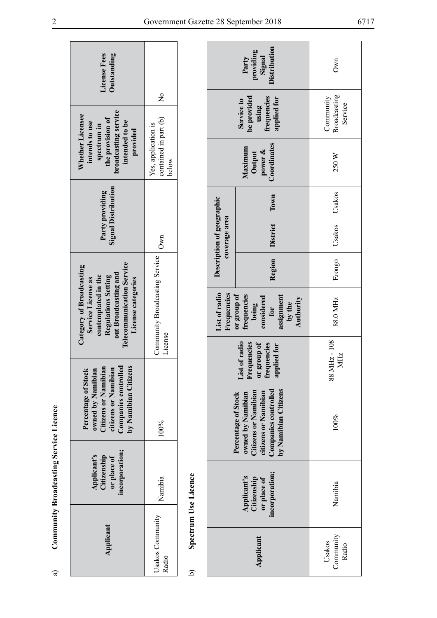| License Fees<br><b>Outstanding</b>                                                                                                                                             | $\frac{1}{2}$                                         |
|--------------------------------------------------------------------------------------------------------------------------------------------------------------------------------|-------------------------------------------------------|
| broadcasting service<br><b>Nhether Licensee</b><br>the provision of<br>intended to be<br>intends to use<br>spectrum in<br>provided                                             | contained in part (b)<br>Yes, application is<br>below |
| <b>Signal Distribution</b><br>Party providing                                                                                                                                  | Own                                                   |
| <b>Telecommunication Service</b><br>Category of Broadcasting<br>out Broadcasting and<br>Regulations Setting<br>contemplated in the<br>Service License as<br>License categories | Community Broadcasting Service<br>License             |
| Companies controlled<br>by Namibian Citizens<br>Citizens or Namibian<br>iibian<br>owned by Namibian<br>Percentage of Stock<br>citizens or Nam                                  | 100%                                                  |
| ncorporation;<br>Applicant's<br>Citizenship<br>or place of                                                                                                                     | Namibia                                               |
| Applicant                                                                                                                                                                      | Jsakos Community<br>Radio                             |

|                                        | License Fees<br>Outstanding<br>broadcasting service<br>Whether Licensee<br>the provision of<br>intended to be<br>intends to use<br>spectrum in<br>provided<br><b>Signal Distribution</b><br>Party providing<br><b>Telecommunication Service</b><br>Category of Broadcasting<br>out Broadcasting and<br>contemplated in the<br>Regulations Setting<br>License categories<br>Service License as<br>owned by Namibian<br>Citizens or Namibian<br>citizens or Namibian<br>Companies controlled<br>by Namibian Citizens<br>Percentage of Stock | $\frac{1}{2}$<br>contained in part (b)<br>Yes, application is<br>below<br>Own<br>Community Broadcasting Service<br>License |                      | Description of geographic<br>coverage area<br>List of radio<br>Frequencies | Distribution<br>providing<br>Signal<br>Party<br>be provided<br>frequencies<br>applied for<br>Service to<br>using<br>Coordinates<br>Maximum<br>power &<br>Output<br>Town<br><b>District</b><br>Region<br>or group of<br>frequencies<br>assignment<br>considered<br>Authority<br>by the<br>being<br>for<br>List of radio<br>Frequencies<br>or group of<br>frequencies<br>applied for | Own<br>Broadcasting<br>Community<br>Service<br>250 W<br>Usakos<br>Usakos<br>Erongo<br>88.0 MHz<br>88 MHz - 108<br>MHz<br>$100\%$ |
|----------------------------------------|-------------------------------------------------------------------------------------------------------------------------------------------------------------------------------------------------------------------------------------------------------------------------------------------------------------------------------------------------------------------------------------------------------------------------------------------------------------------------------------------------------------------------------------------|----------------------------------------------------------------------------------------------------------------------------|----------------------|----------------------------------------------------------------------------|------------------------------------------------------------------------------------------------------------------------------------------------------------------------------------------------------------------------------------------------------------------------------------------------------------------------------------------------------------------------------------|----------------------------------------------------------------------------------------------------------------------------------|
|                                        |                                                                                                                                                                                                                                                                                                                                                                                                                                                                                                                                           | 100%                                                                                                                       |                      |                                                                            | by Namibian Citizens<br>Companies controlled<br><b>Citizens or Namibian</b><br>citizens or Namibian<br>Percentage of Stock<br>owned by Namibian                                                                                                                                                                                                                                    |                                                                                                                                  |
| Community Broadcasting Service Licence | incorporation;<br>Applicant's<br>Citizenship<br>or place of                                                                                                                                                                                                                                                                                                                                                                                                                                                                               | Namibia                                                                                                                    | Spectrum Use Licence |                                                                            | incorporation;<br>Applicant's<br>Citizenship<br>or place of                                                                                                                                                                                                                                                                                                                        | Namibia                                                                                                                          |
| ಡ                                      | Applicant                                                                                                                                                                                                                                                                                                                                                                                                                                                                                                                                 | Usakos Community<br>Radio                                                                                                  | ھ                    |                                                                            | Applicant                                                                                                                                                                                                                                                                                                                                                                          | Community<br>Usakos<br>Radio                                                                                                     |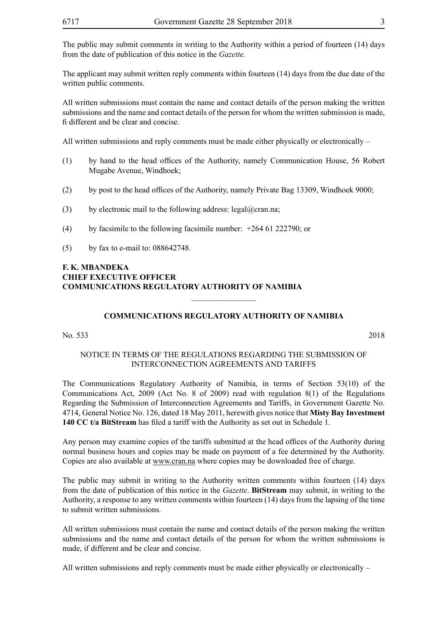The public may submit comments in writing to the Authority within a period of fourteen (14) days from the date of publication of this notice in the *Gazette.*

The applicant may submit written reply comments within fourteen (14) days from the due date of the written public comments.

All written submissions must contain the name and contact details of the person making the written submissions and the name and contact details of the person for whom the written submission is made, fi different and be clear and concise.

All written submissions and reply comments must be made either physically or electronically –

- (1) by hand to the head offices of the Authority, namely Communication House, 56 Robert Mugabe Avenue, Windhoek;
- (2) by post to the head offices of the Authority, namely Private Bag 13309, Windhoek 9000;
- (3) by electronic mail to the following address: legal@cran.na;
- (4) by facsimile to the following facsimile number: +264 61 222790; or
- (5) by fax to e-mail to: 088642748.

#### **F. K. MBANDEKA CHIEF EXECUTIVE OFFICER COMMUNICATIONS REGULATORY AUTHORITY OF NAMIBIA**

#### **COMMUNICATIONS REGULATORY AUTHORITY OF NAMIBIA**

 $\overline{\phantom{a}}$  , where  $\overline{\phantom{a}}$ 

No. 533 2018

#### NOTICE IN TERMS OF THE REGULATIONS REGARDING THE SUBMISSION OF INTERCONNECTION AGREEMENTS AND TARIFFS

The Communications Regulatory Authority of Namibia, in terms of Section 53(10) of the Communications Act, 2009 (Act No. 8 of 2009) read with regulation 8(1) of the Regulations Regarding the Submission of Interconnection Agreements and Tariffs, in Government Gazette No. 4714, General Notice No. 126, dated 18 May 2011, herewith gives notice that **Misty Bay Investment 140 CC t/a BitStream** has filed a tariff with the Authority as set out in Schedule 1.

Any person may examine copies of the tariffs submitted at the head offices of the Authority during normal business hours and copies may be made on payment of a fee determined by the Authority. Copies are also available at www.cran.na where copies may be downloaded free of charge.

The public may submit in writing to the Authority written comments within fourteen (14) days from the date of publication of this notice in the *Gazette*. **BitStream** may submit, in writing to the Authority, a response to any written comments within fourteen (14) days from the lapsing of the time to submit written submissions.

All written submissions must contain the name and contact details of the person making the written submissions and the name and contact details of the person for whom the written submissions is made, if different and be clear and concise.

All written submissions and reply comments must be made either physically or electronically –